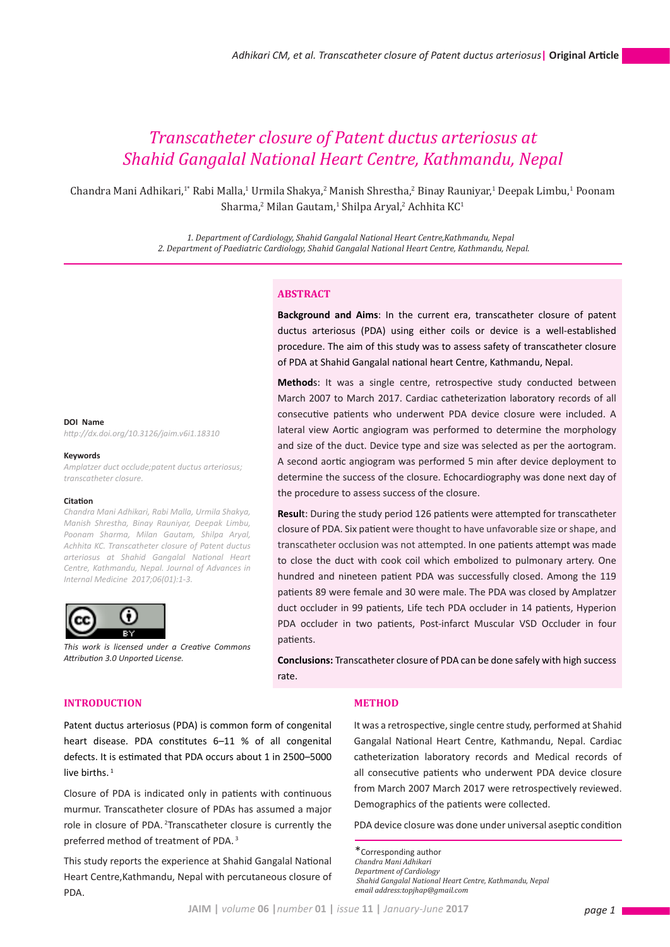# *Transcatheter closure of Patent ductus arteriosus at Shahid Gangalal National Heart Centre, Kathmandu, Nepal*

Chandra Mani Adhikari,<sup>1</sup>° Rabi Malla,<sup>1</sup> Urmila Shakya,<sup>2</sup> Manish Shrestha,<sup>2</sup> Binay Rauniyar,<sup>1</sup> Deepak Limbu,<sup>1</sup> Poonam  $Sharma,²$  Milan Gautam, $³$  Shilpa Aryal, $³$  Achhita KC $³$ 

> *1. Department of Cardiology, Shahid Gangalal National Heart Centre,Kathmandu, Nepal 2. Department of Paediatric Cardiology, Shahid Gangalal National Heart Centre, Kathmandu, Nepal.*

# **ABSTRACT**

**Background and Aims**: In the current era, transcatheter closure of patent ductus arteriosus (PDA) using either coils or device is a well-established procedure. The aim of this study was to assess safety of transcatheter closure of PDA at Shahid Gangalal national heart Centre, Kathmandu, Nepal.

**Method**s: It was a single centre, retrospective study conducted between March 2007 to March 2017. Cardiac catheterization laboratory records of all consecutive patients who underwent PDA device closure were included. A lateral view Aortic angiogram was performed to determine the morphology and size of the duct. Device type and size was selected as per the aortogram. A second aortic angiogram was performed 5 min after device deployment to determine the success of the closure. Echocardiography was done next day of the procedure to assess success of the closure.

**Resul**t: During the study period 126 patients were attempted for transcatheter closure of PDA. Six patient were thought to have unfavorable size or shape, and transcatheter occlusion was not attempted. In one patients attempt was made to close the duct with cook coil which embolized to pulmonary artery. One hundred and nineteen patient PDA was successfully closed. Among the 119 patients 89 were female and 30 were male. The PDA was closed by Amplatzer duct occluder in 99 patients, Life tech PDA occluder in 14 patients, Hyperion PDA occluder in two patients, Post-infarct Muscular VSD Occluder in four patients.

**Conclusions:** Transcatheter closure of PDA can be done safely with high success rate.

### **INTRODUCTION**

Patent ductus arteriosus (PDA) is common form of congenital heart disease. PDA constitutes 6–11 % of all congenital defects. It is estimated that PDA occurs about 1 in 2500–5000 live births. $1$ 

Closure of PDA is indicated only in patients with continuous murmur. Transcatheter closure of PDAs has assumed a major role in closure of PDA. 2Transcatheter closure is currently the preferred method of treatment of PDA. 3

This study reports the experience at Shahid Gangalal National Heart Centre,Kathmandu, Nepal with percutaneous closure of PDA.

#### **METHOD**

It was a retrospective, single centre study, performed at Shahid Gangalal National Heart Centre, Kathmandu, Nepal. Cardiac catheterization laboratory records and Medical records of all consecutive patients who underwent PDA device closure from March 2007 March 2017 were retrospectively reviewed. Demographics of the patients were collected.

PDA device closure was done under universal aseptic condition

\*Corresponding author *Chandra Mani Adhikari Department of Cardiology*

 *Shahid Gangalal National Heart Centre, Kathmandu, Nepal email address:topjhap@gmail.com*

# **DOI Name**

*http://dx.doi.org/10.3126/jaim.v6i1.18310*

#### **Keywords**

*Amplatzer duct occlude;patent ductus arteriosus; transcatheter closure.*

#### **Citation**

*Chandra Mani Adhikari, Rabi Malla, Urmila Shakya, Manish Shrestha, Binay Rauniyar, Deepak Limbu, Poonam Sharma, Milan Gautam, Shilpa Aryal, Achhita KC. Transcatheter closure of Patent ductus arteriosus at Shahid Gangalal National Heart Centre, Kathmandu, Nepal. Journal of Advances in Internal Medicine 2017;06(01):1-3.* 

*This work is licensed under a Creative Commons* 



*Attribution 3.0 Unported License.*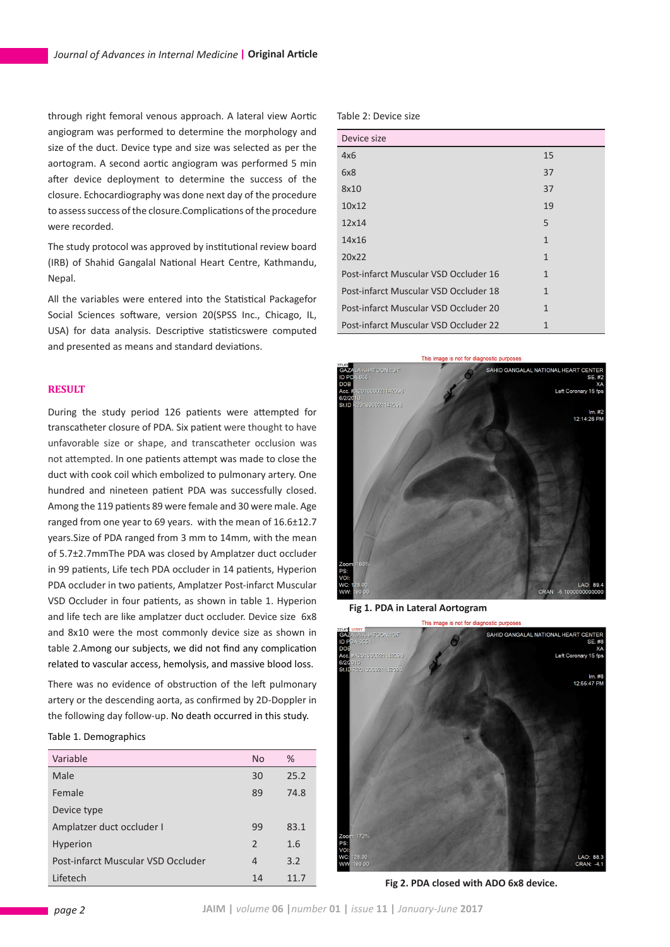through right femoral venous approach. A lateral view Aortic angiogram was performed to determine the morphology and size of the duct. Device type and size was selected as per the aortogram. A second aortic angiogram was performed 5 min after device deployment to determine the success of the closure. Echocardiography was done next day of the procedure to assess success of the closure.Complications of the procedure were recorded.

The study protocol was approved by institutional review board (IRB) of Shahid Gangalal National Heart Centre, Kathmandu, Nepal.

All the variables were entered into the Statistical Packagefor Social Sciences software, version 20(SPSS Inc., Chicago, IL, USA) for data analysis. Descriptive statisticswere computed and presented as means and standard deviations.

# **RESULT**

During the study period 126 patients were attempted for transcatheter closure of PDA. Six patient were thought to have unfavorable size or shape, and transcatheter occlusion was not attempted. In one patients attempt was made to close the duct with cook coil which embolized to pulmonary artery. One hundred and nineteen patient PDA was successfully closed. Among the 119 patients 89 were female and 30 were male. Age ranged from one year to 69 years. with the mean of 16.6±12.7 years.Size of PDA ranged from 3 mm to 14mm, with the mean of 5.7±2.7mmThe PDA was closed by Amplatzer duct occluder in 99 patients, Life tech PDA occluder in 14 patients, Hyperion PDA occluder in two patients, Amplatzer Post-infarct Muscular VSD Occluder in four patients, as shown in table 1. Hyperion and life tech are like amplatzer duct occluder. Device size 6x8 and 8x10 were the most commonly device size as shown in table 2.Among our subjects, we did not find any complication related to vascular access, hemolysis, and massive blood loss.

There was no evidence of obstruction of the left pulmonary artery or the descending aorta, as confirmed by 2D-Doppler in the following day follow-up. No death occurred in this study.

# Table 1. Demographics

| Variable                           | N <sub>o</sub> | %    |
|------------------------------------|----------------|------|
| Male                               | 30             | 25.2 |
| Female                             | 89             | 74.8 |
| Device type                        |                |      |
| Amplatzer duct occluder I          | 99             | 83.1 |
| <b>Hyperion</b>                    | $\mathcal{P}$  | 1.6  |
| Post-infarct Muscular VSD Occluder | 4              | 3.2  |
| Lifetech                           | 14             | 11.7 |

Table 2: Device size

| Device size                           |              |
|---------------------------------------|--------------|
| 4x6                                   | 15           |
| 6x8                                   | 37           |
| 8x10                                  | 37           |
| 10x12                                 | 19           |
| 12x14                                 | 5            |
| 14x16                                 | $\mathbf{1}$ |
| 20x22                                 | 1            |
| Post-infarct Muscular VSD Occluder 16 | 1            |
| Post-infarct Muscular VSD Occluder 18 | 1            |
| Post-infarct Muscular VSD Occluder 20 | 1            |
| Post-infarct Muscular VSD Occluder 22 | 1            |



 **Fig 1. PDA in Lateral Aortogram**



**Fig 2. PDA closed with ADO 6x8 device.**